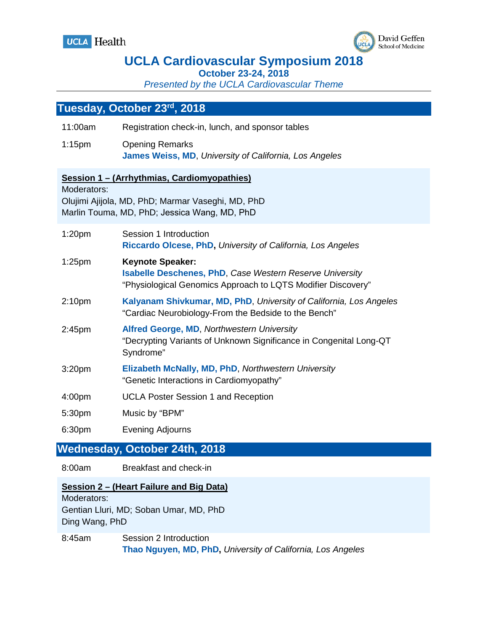



## **UCLA Cardiovascular Symposium 2018**

**October 23-24, 2018**

*Presented by the UCLA Cardiovascular Theme*

### **Tuesday, October 23rd, 2018**

| 11:00am                       | Registration check-in, lunch, and sponsor tables                                                                                                           |  |
|-------------------------------|------------------------------------------------------------------------------------------------------------------------------------------------------------|--|
| $1:15$ pm                     | <b>Opening Remarks</b><br>James Weiss, MD, University of California, Los Angeles                                                                           |  |
| Moderators:                   | Session 1 - (Arrhythmias, Cardiomyopathies)<br>Olujimi Ajijola, MD, PhD; Marmar Vaseghi, MD, PhD<br>Marlin Touma, MD, PhD; Jessica Wang, MD, PhD           |  |
| 1:20 <sub>pm</sub>            | Session 1 Introduction<br>Riccardo Olcese, PhD, University of California, Los Angeles                                                                      |  |
| $1:25$ pm                     | <b>Keynote Speaker:</b><br><b>Isabelle Deschenes, PhD, Case Western Reserve University</b><br>"Physiological Genomics Approach to LQTS Modifier Discovery" |  |
| 2:10 <sub>pm</sub>            | Kalyanam Shivkumar, MD, PhD, University of California, Los Angeles<br>"Cardiac Neurobiology-From the Bedside to the Bench"                                 |  |
| 2:45 <sub>pm</sub>            | <b>Alfred George, MD, Northwestern University</b><br>"Decrypting Variants of Unknown Significance in Congenital Long-QT<br>Syndrome"                       |  |
| 3:20pm                        | Elizabeth McNally, MD, PhD, Northwestern University<br>"Genetic Interactions in Cardiomyopathy"                                                            |  |
| 4:00pm                        | <b>UCLA Poster Session 1 and Reception</b>                                                                                                                 |  |
| 5:30pm                        | Music by "BPM"                                                                                                                                             |  |
| 6:30pm                        | <b>Evening Adjourns</b>                                                                                                                                    |  |
| Wednesday, October 24th, 2018 |                                                                                                                                                            |  |

8:00am Breakfast and check-in

**Session 2 – (Heart Failure and Big Data)** Moderators: Gentian Lluri, MD; Soban Umar, MD, PhD

Ding Wang, PhD 8:45am Session 2 Introduction

**Thao Nguyen, MD, PhD,** *University of California, Los Angeles*